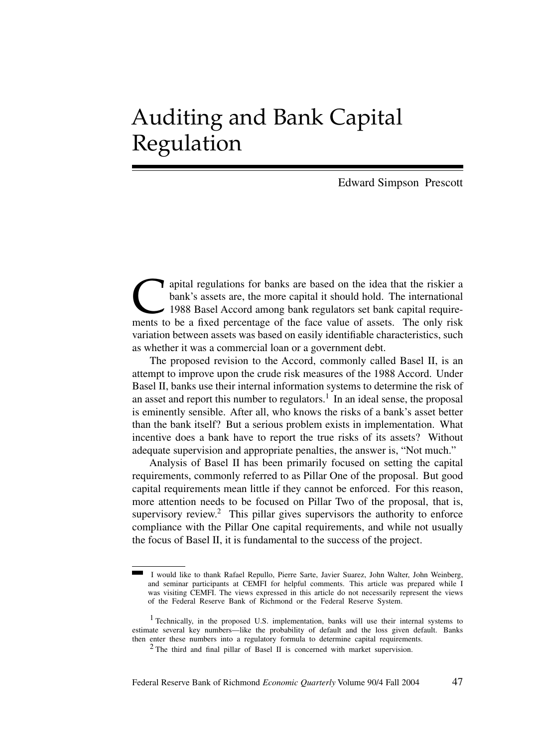# Auditing and Bank Capital Regulation

Edward Simpson Prescott

apital regulations for banks are based on the idea that the riskier a<br>bank's assets are, the more capital it should hold. The international<br>1988 Basel Accord among bank regulators set bank capital require-<br>ments to be a fi bank's assets are, the more capital it should hold. The international 1988 Basel Accord among bank regulators set bank capital requirements to be a fixed percentage of the face value of assets. The only risk variation between assets was based on easily identifiable characteristics, such as whether it was a commercial loan or a government debt.

The proposed revision to the Accord, commonly called Basel II, is an attempt to improve upon the crude risk measures of the 1988 Accord. Under Basel II, banks use their internal information systems to determine the risk of an asset and report this number to regulators.<sup>1</sup> In an ideal sense, the proposal is eminently sensible. After all, who knows the risks of a bank's asset better than the bank itself? But a serious problem exists in implementation. What incentive does a bank have to report the true risks of its assets? Without adequate supervision and appropriate penalties, the answer is, "Not much."

Analysis of Basel II has been primarily focused on setting the capital requirements, commonly referred to as Pillar One of the proposal. But good capital requirements mean little if they cannot be enforced. For this reason, more attention needs to be focused on Pillar Two of the proposal, that is, supervisory review.<sup>2</sup> This pillar gives supervisors the authority to enforce compliance with the Pillar One capital requirements, and while not usually the focus of Basel II, it is fundamental to the success of the project.

I would like to thank Rafael Repullo, Pierre Sarte, Javier Suarez, John Walter, John Weinberg, and seminar participants at CEMFI for helpful comments. This article was prepared while I was visiting CEMFI. The views expressed in this article do not necessarily represent the views of the Federal Reserve Bank of Richmond or the Federal Reserve System.

<sup>&</sup>lt;sup>1</sup> Technically, in the proposed U.S. implementation, banks will use their internal systems to estimate several key numbers—like the probability of default and the loss given default. Banks then enter these numbers into a regulatory formula to determine capital requirements.

<sup>&</sup>lt;sup>2</sup> The third and final pillar of Basel II is concerned with market supervision.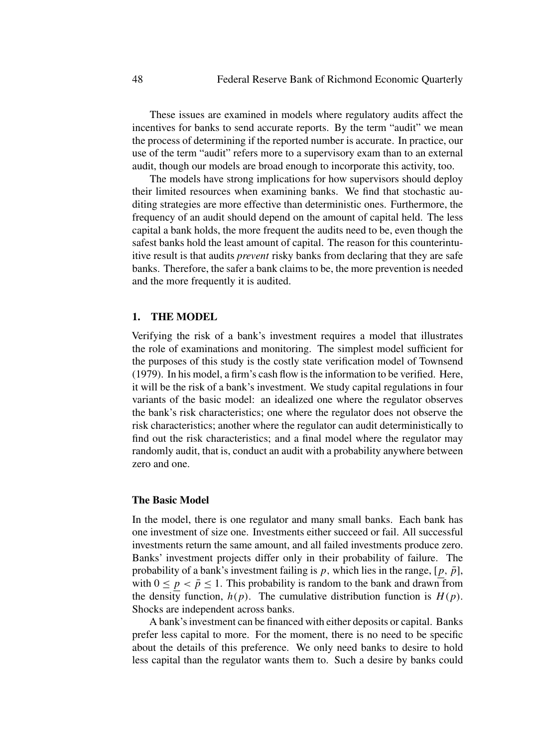These issues are examined in models where regulatory audits affect the incentives for banks to send accurate reports. By the term "audit" we mean the process of determining if the reported number is accurate. In practice, our use of the term "audit" refers more to a supervisory exam than to an external audit, though our models are broad enough to incorporate this activity, too.

The models have strong implications for how supervisors should deploy their limited resources when examining banks. We find that stochastic auditing strategies are more effective than deterministic ones. Furthermore, the frequency of an audit should depend on the amount of capital held. The less capital a bank holds, the more frequent the audits need to be, even though the safest banks hold the least amount of capital. The reason for this counterintuitive result is that audits *prevent* risky banks from declaring that they are safe banks. Therefore, the safer a bank claims to be, the more prevention is needed and the more frequently it is audited.

# **1. THE MODEL**

Verifying the risk of a bank's investment requires a model that illustrates the role of examinations and monitoring. The simplest model sufficient for the purposes of this study is the costly state verification model of Townsend (1979). In his model, a firm's cash flow is the information to be verified. Here, it will be the risk of a bank's investment. We study capital regulations in four variants of the basic model: an idealized one where the regulator observes the bank's risk characteristics; one where the regulator does not observe the risk characteristics; another where the regulator can audit deterministically to find out the risk characteristics; and a final model where the regulator may randomly audit, that is, conduct an audit with a probability anywhere between zero and one.

#### **The Basic Model**

In the model, there is one regulator and many small banks. Each bank has one investment of size one. Investments either succeed or fail. All successful investments return the same amount, and all failed investments produce zero. Banks' investment projects differ only in their probability of failure. The probability of a bank's investment failing is p, which lies in the range,  $[p, \bar{p}]$ , with  $0 \le p < \bar{p} \le 1$ . This probability is random to the bank and drawn from the density function,  $h(p)$ . The cumulative distribution function is  $H(p)$ . Shocks are independent across banks.

A bank's investment can be financed with either deposits or capital. Banks prefer less capital to more. For the moment, there is no need to be specific about the details of this preference. We only need banks to desire to hold less capital than the regulator wants them to. Such a desire by banks could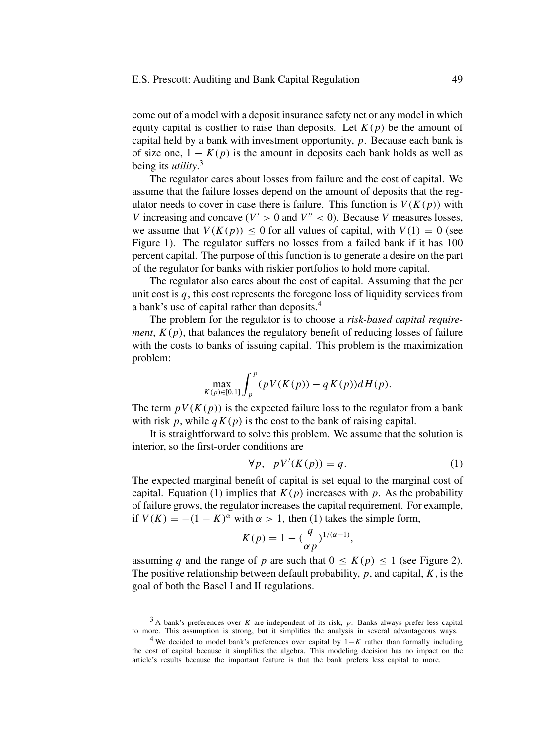come out of a model with a deposit insurance safety net or any model in which equity capital is costlier to raise than deposits. Let  $K(p)$  be the amount of capital held by a bank with investment opportunity, p. Because each bank is of size one,  $1 - K(p)$  is the amount in deposits each bank holds as well as being its *utility*. 3

The regulator cares about losses from failure and the cost of capital. We assume that the failure losses depend on the amount of deposits that the regulator needs to cover in case there is failure. This function is  $V(K(p))$  with V increasing and concave ( $V' > 0$  and  $V'' < 0$ ). Because V measures losses, we assume that  $V(K(p)) \le 0$  for all values of capital, with  $V(1) = 0$  (see Figure 1). The regulator suffers no losses from a failed bank if it has 100 percent capital. The purpose of this function is to generate a desire on the part of the regulator for banks with riskier portfolios to hold more capital.

The regulator also cares about the cost of capital. Assuming that the per unit cost is  $q$ , this cost represents the foregone loss of liquidity services from a bank's use of capital rather than deposits.<sup>4</sup>

The problem for the regulator is to choose a *risk-based capital requirement*,  $K(p)$ , that balances the regulatory benefit of reducing losses of failure with the costs to banks of issuing capital. This problem is the maximization problem:

$$
\max_{K(p)\in [0,1]} \int_{\underline{p}}^{\bar{p}} (pV(K(p)) - qK(p))dH(p).
$$

The term  $pV(K(p))$  is the expected failure loss to the regulator from a bank with risk p, while  $qK(p)$  is the cost to the bank of raising capital.

It is straightforward to solve this problem. We assume that the solution is interior, so the first-order conditions are

$$
\forall p, \quad pV'(K(p)) = q. \tag{1}
$$

The expected marginal benefit of capital is set equal to the marginal cost of capital. Equation (1) implies that  $K(p)$  increases with p. As the probability of failure grows, the regulator increases the capital requirement. For example, if  $V(K) = -(1 - K)^{\alpha}$  with  $\alpha > 1$ , then (1) takes the simple form,

$$
K(p) = 1 - \left(\frac{q}{\alpha p}\right)^{1/(\alpha - 1)},
$$

assuming q and the range of p are such that  $0 \le K(p) \le 1$  (see Figure 2). The positive relationship between default probability,  $p$ , and capital,  $K$ , is the goal of both the Basel I and II regulations.

 $3$  A bank's preferences over K are independent of its risk, p. Banks always prefer less capital to more. This assumption is strong, but it simplifies the analysis in several advantageous ways.

<sup>&</sup>lt;sup>4</sup> We decided to model bank's preferences over capital by  $1-K$  rather than formally including the cost of capital because it simplifies the algebra. This modeling decision has no impact on the article's results because the important feature is that the bank prefers less capital to more.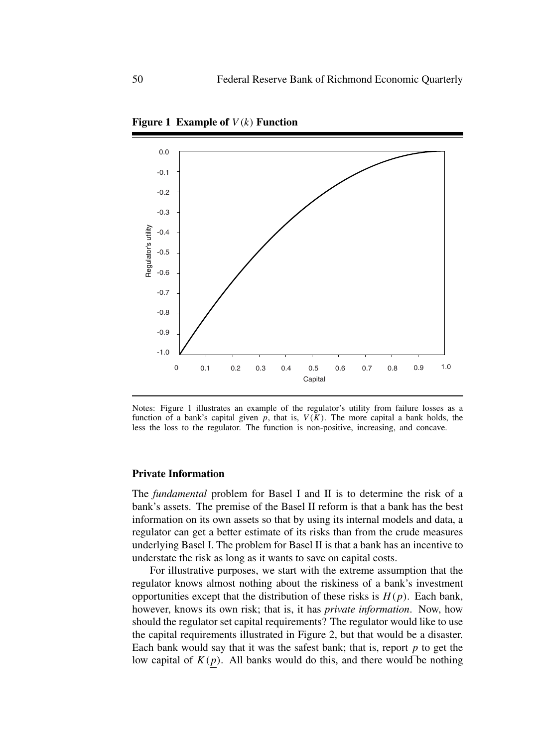

**Figure 1 Example of** V (k) **Function**

Notes: Figure 1 illustrates an example of the regulator's utility from failure losses as a function of a bank's capital given p, that is,  $V(K)$ . The more capital a bank holds, the less the loss to the regulator. The function is non-positive, increasing, and concave.

#### **Private Information**

The *fundamental* problem for Basel I and II is to determine the risk of a bank's assets. The premise of the Basel II reform is that a bank has the best information on its own assets so that by using its internal models and data, a regulator can get a better estimate of its risks than from the crude measures underlying Basel I. The problem for Basel II is that a bank has an incentive to understate the risk as long as it wants to save on capital costs.

For illustrative purposes, we start with the extreme assumption that the regulator knows almost nothing about the riskiness of a bank's investment opportunities except that the distribution of these risks is  $H(p)$ . Each bank, however, knows its own risk; that is, it has *private information*. Now, how should the regulator set capital requirements? The regulator would like to use the capital requirements illustrated in Figure 2, but that would be a disaster. Each bank would say that it was the safest bank; that is, report  $p$  to get the low capital of  $K(p)$ . All banks would do this, and there would be nothing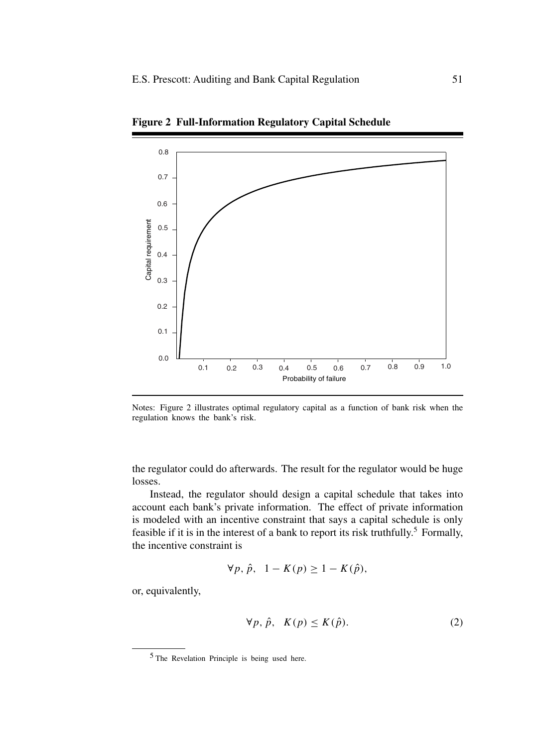

**Figure 2 Full-Information Regulatory Capital Schedule**

Notes: Figure 2 illustrates optimal regulatory capital as a function of bank risk when the regulation knows the bank's risk.

the regulator could do afterwards. The result for the regulator would be huge losses.

Instead, the regulator should design a capital schedule that takes into account each bank's private information. The effect of private information is modeled with an incentive constraint that says a capital schedule is only feasible if it is in the interest of a bank to report its risk truthfully.<sup>5</sup> Formally, the incentive constraint is

$$
\forall p, \hat{p}, 1 - K(p) \ge 1 - K(\hat{p}),
$$

or, equivalently,

$$
\forall p, \hat{p}, \ K(p) \le K(\hat{p}). \tag{2}
$$

<sup>5</sup> The Revelation Principle is being used here.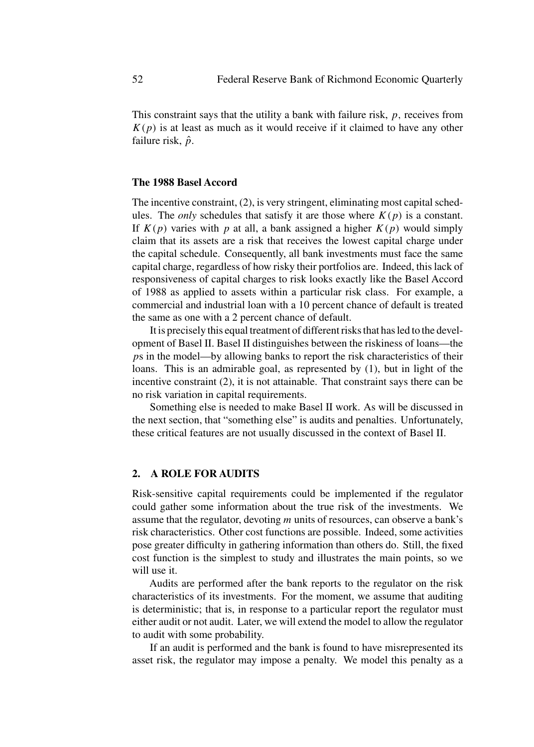This constraint says that the utility a bank with failure risk,  $p$ , receives from  $K(p)$  is at least as much as it would receive if it claimed to have any other failure risk,  $\hat{p}$ .

# **The 1988 Basel Accord**

The incentive constraint, (2), is very stringent, eliminating most capital schedules. The *only* schedules that satisfy it are those where  $K(p)$  is a constant. If  $K(p)$  varies with p at all, a bank assigned a higher  $K(p)$  would simply claim that its assets are a risk that receives the lowest capital charge under the capital schedule. Consequently, all bank investments must face the same capital charge, regardless of how risky their portfolios are. Indeed, this lack of responsiveness of capital charges to risk looks exactly like the Basel Accord of 1988 as applied to assets within a particular risk class. For example, a commercial and industrial loan with a 10 percent chance of default is treated the same as one with a 2 percent chance of default.

It is precisely this equal treatment of different risks that has led to the development of Basel II. Basel II distinguishes between the riskiness of loans—the ps in the model—by allowing banks to report the risk characteristics of their loans. This is an admirable goal, as represented by (1), but in light of the incentive constraint (2), it is not attainable. That constraint says there can be no risk variation in capital requirements.

Something else is needed to make Basel II work. As will be discussed in the next section, that "something else" is audits and penalties. Unfortunately, these critical features are not usually discussed in the context of Basel II.

# **2. A ROLE FOR AUDITS**

Risk-sensitive capital requirements could be implemented if the regulator could gather some information about the true risk of the investments. We assume that the regulator, devoting  $m$  units of resources, can observe a bank's risk characteristics. Other cost functions are possible. Indeed, some activities pose greater difficulty in gathering information than others do. Still, the fixed cost function is the simplest to study and illustrates the main points, so we will use it.

Audits are performed after the bank reports to the regulator on the risk characteristics of its investments. For the moment, we assume that auditing is deterministic; that is, in response to a particular report the regulator must either audit or not audit. Later, we will extend the model to allow the regulator to audit with some probability.

If an audit is performed and the bank is found to have misrepresented its asset risk, the regulator may impose a penalty. We model this penalty as a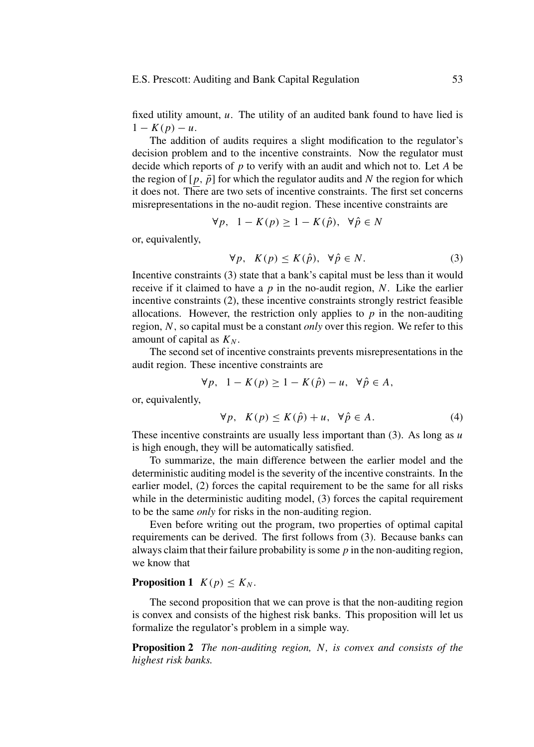fixed utility amount,  $u$ . The utility of an audited bank found to have lied is  $1 - K(p) - u$ .

The addition of audits requires a slight modification to the regulator's decision problem and to the incentive constraints. Now the regulator must decide which reports of  $p$  to verify with an audit and which not to. Let  $A$  be the region of  $[p, \bar{p}]$  for which the regulator audits and N the region for which it does not. There are two sets of incentive constraints. The first set concerns misrepresentations in the no-audit region. These incentive constraints are

$$
\forall p, \ \ 1 - K(p) \ge 1 - K(\hat{p}), \ \ \forall \hat{p} \in N
$$

or, equivalently,

$$
\forall p, K(p) \le K(\hat{p}), \ \forall \hat{p} \in N. \tag{3}
$$

Incentive constraints (3) state that a bank's capital must be less than it would receive if it claimed to have a  $p$  in the no-audit region, N. Like the earlier incentive constraints (2), these incentive constraints strongly restrict feasible allocations. However, the restriction only applies to  $p$  in the non-auditing region, N , so capital must be a constant *only* over this region. We refer to this amount of capital as  $K_N$ .

The second set of incentive constraints prevents misrepresentations in the audit region. These incentive constraints are

$$
\forall p, \quad 1 - K(p) \ge 1 - K(\hat{p}) - u, \quad \forall \hat{p} \in A,
$$

or, equivalently,

$$
\forall p, K(p) \le K(\hat{p}) + u, \ \forall \hat{p} \in A. \tag{4}
$$

These incentive constraints are usually less important than  $(3)$ . As long as u is high enough, they will be automatically satisfied.

To summarize, the main difference between the earlier model and the deterministic auditing model is the severity of the incentive constraints. In the earlier model, (2) forces the capital requirement to be the same for all risks while in the deterministic auditing model, (3) forces the capital requirement to be the same *only* for risks in the non-auditing region.

Even before writing out the program, two properties of optimal capital requirements can be derived. The first follows from (3). Because banks can always claim that their failure probability is some  $p$  in the non-auditing region, we know that

# **Proposition 1**  $K(p) \leq K_N$ .

The second proposition that we can prove is that the non-auditing region is convex and consists of the highest risk banks. This proposition will let us formalize the regulator's problem in a simple way.

**Proposition 2** *The non-auditing region,* N*, is convex and consists of the highest risk banks.*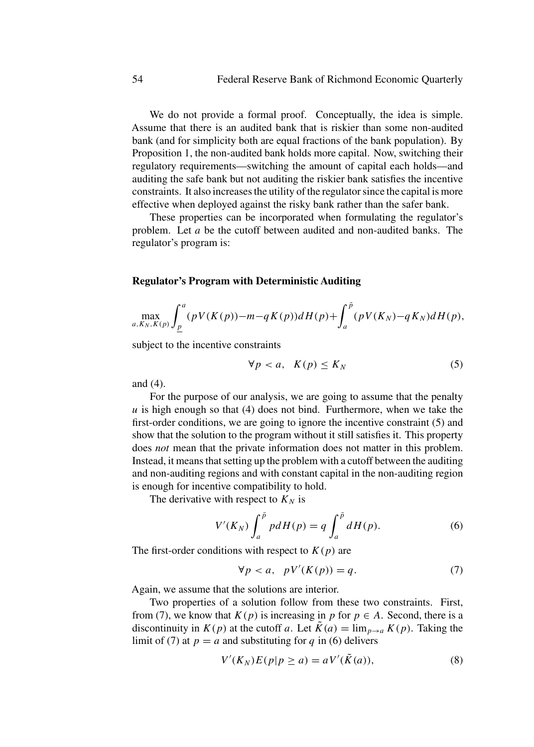We do not provide a formal proof. Conceptually, the idea is simple. Assume that there is an audited bank that is riskier than some non-audited bank (and for simplicity both are equal fractions of the bank population). By Proposition 1, the non-audited bank holds more capital. Now, switching their regulatory requirements—switching the amount of capital each holds—and auditing the safe bank but not auditing the riskier bank satisfies the incentive constraints. It also increases the utility of the regulator since the capital is more effective when deployed against the risky bank rather than the safer bank.

These properties can be incorporated when formulating the regulator's problem. Let a be the cutoff between audited and non-audited banks. The regulator's program is:

# **Regulator's Program with Deterministic Auditing**

$$
\max_{a,K_N,K(p)} \int_{\underline{p}}^a (pV(K(p))-m-qK(p))dH(p) + \int_a^{\bar{p}} (pV(K_N)-qK_N)dH(p),
$$

subject to the incentive constraints

$$
\forall p < a, \ K(p) \le K_N \tag{5}
$$

and (4).

For the purpose of our analysis, we are going to assume that the penalty  $u$  is high enough so that (4) does not bind. Furthermore, when we take the first-order conditions, we are going to ignore the incentive constraint (5) and show that the solution to the program without it still satisfies it. This property does *not* mean that the private information does not matter in this problem. Instead, it means that setting up the problem with a cutoff between the auditing and non-auditing regions and with constant capital in the non-auditing region is enough for incentive compatibility to hold.

The derivative with respect to  $K_N$  is

$$
V'(K_N) \int_a^{\bar{p}} p dH(p) = q \int_a^{\bar{p}} dH(p).
$$
 (6)

The first-order conditions with respect to  $K(p)$  are

$$
\forall p < a, \quad pV'(K(p)) = q. \tag{7}
$$

Again, we assume that the solutions are interior.

Two properties of a solution follow from these two constraints. First, from (7), we know that  $K(p)$  is increasing in p for  $p \in A$ . Second, there is a discontinuity in  $K(p)$  at the cutoff a. Let  $\tilde{K}(a) = \lim_{p \to a} K(p)$ . Taking the limit of (7) at  $p = a$  and substituting for q in (6) delivers

$$
V'(K_N)E(p|p \ge a) = aV'(\tilde{K}(a)),\tag{8}
$$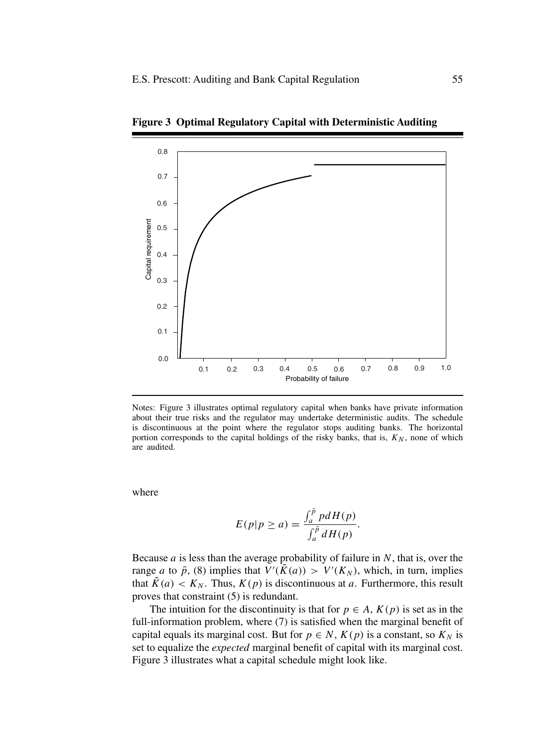

**Figure 3 Optimal Regulatory Capital with Deterministic Auditing**

Notes: Figure 3 illustrates optimal regulatory capital when banks have private information about their true risks and the regulator may undertake deterministic audits. The schedule is discontinuous at the point where the regulator stops auditing banks. The horizontal portion corresponds to the capital holdings of the risky banks, that is,  $K_N$ , none of which are audited.

where

$$
E(p|p \ge a) = \frac{\int_a^{\bar{p}} pdH(p)}{\int_a^{\bar{p}} dH(p)}.
$$

Because  $a$  is less than the average probability of failure in  $N$ , that is, over the range *a* to  $\bar{p}$ , (8) implies that  $V'(\tilde{K}(a)) > V'(K_N)$ , which, in turn, implies that  $\tilde{K}(a) < K_N$ . Thus,  $K(p)$  is discontinuous at a. Furthermore, this result proves that constraint (5) is redundant.

The intuition for the discontinuity is that for  $p \in A$ ,  $K(p)$  is set as in the full-information problem, where (7) is satisfied when the marginal benefit of capital equals its marginal cost. But for  $p \in N$ ,  $K(p)$  is a constant, so  $K<sub>N</sub>$  is set to equalize the *expected* marginal benefit of capital with its marginal cost. Figure 3 illustrates what a capital schedule might look like.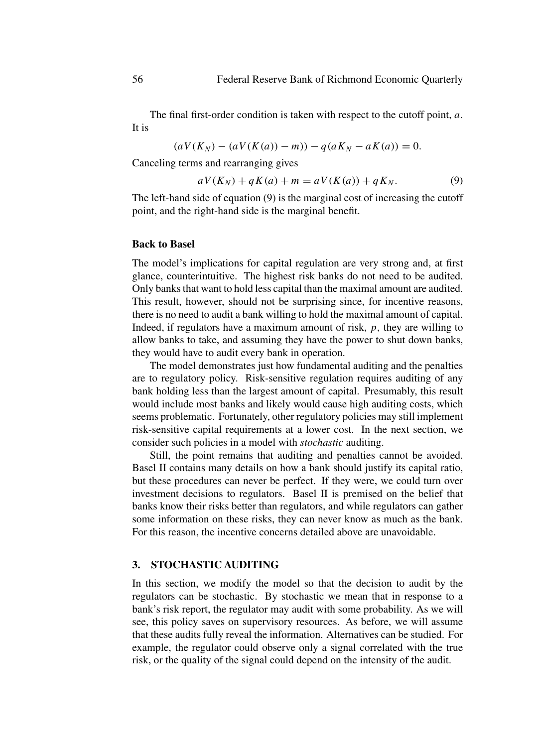The final first-order condition is taken with respect to the cutoff point, a. It is

$$
(aV(K_N) - (aV(K(a)) - m)) - q(aK_N - aK(a)) = 0.
$$

Canceling terms and rearranging gives

$$
aV(K_N) + qK(a) + m = aV(K(a)) + qK_N.
$$
 (9)

The left-hand side of equation (9) is the marginal cost of increasing the cutoff point, and the right-hand side is the marginal benefit.

#### **Back to Basel**

The model's implications for capital regulation are very strong and, at first glance, counterintuitive. The highest risk banks do not need to be audited. Only banks that want to hold less capital than the maximal amount are audited. This result, however, should not be surprising since, for incentive reasons, there is no need to audit a bank willing to hold the maximal amount of capital. Indeed, if regulators have a maximum amount of risk,  $p$ , they are willing to allow banks to take, and assuming they have the power to shut down banks, they would have to audit every bank in operation.

The model demonstrates just how fundamental auditing and the penalties are to regulatory policy. Risk-sensitive regulation requires auditing of any bank holding less than the largest amount of capital. Presumably, this result would include most banks and likely would cause high auditing costs, which seems problematic. Fortunately, other regulatory policies may still implement risk-sensitive capital requirements at a lower cost. In the next section, we consider such policies in a model with *stochastic* auditing.

Still, the point remains that auditing and penalties cannot be avoided. Basel II contains many details on how a bank should justify its capital ratio, but these procedures can never be perfect. If they were, we could turn over investment decisions to regulators. Basel II is premised on the belief that banks know their risks better than regulators, and while regulators can gather some information on these risks, they can never know as much as the bank. For this reason, the incentive concerns detailed above are unavoidable.

#### **3. STOCHASTIC AUDITING**

In this section, we modify the model so that the decision to audit by the regulators can be stochastic. By stochastic we mean that in response to a bank's risk report, the regulator may audit with some probability. As we will see, this policy saves on supervisory resources. As before, we will assume that these audits fully reveal the information. Alternatives can be studied. For example, the regulator could observe only a signal correlated with the true risk, or the quality of the signal could depend on the intensity of the audit.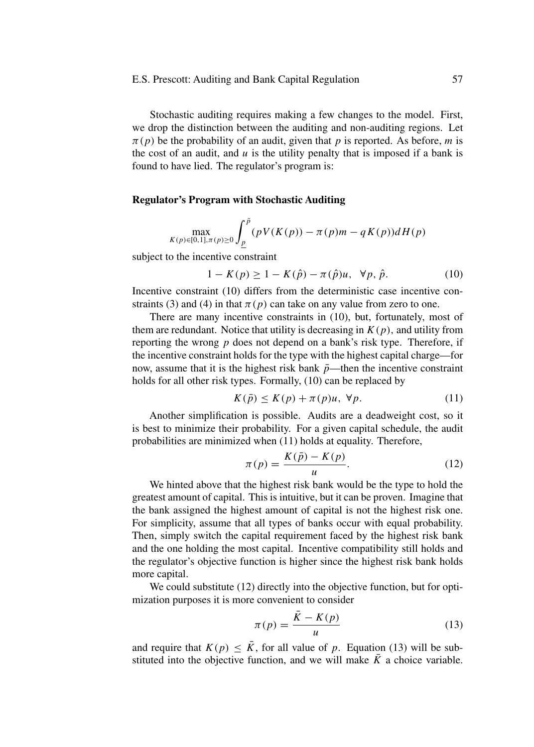Stochastic auditing requires making a few changes to the model. First, we drop the distinction between the auditing and non-auditing regions. Let  $\pi(p)$  be the probability of an audit, given that p is reported. As before, m is the cost of an audit, and  $u$  is the utility penalty that is imposed if a bank is found to have lied. The regulator's program is:

## **Regulator's Program with Stochastic Auditing**

$$
\max_{K(p)\in [0,1], \pi(p)\geq 0} \int_{\underline{p}}^{\bar{p}} (pV(K(p)) - \pi(p)m - qK(p))dH(p)
$$

subject to the incentive constraint

$$
1 - K(p) \ge 1 - K(\hat{p}) - \pi(\hat{p})u, \ \forall p, \hat{p}.
$$
 (10)

Incentive constraint (10) differs from the deterministic case incentive constraints (3) and (4) in that  $\pi(p)$  can take on any value from zero to one.

There are many incentive constraints in (10), but, fortunately, most of them are redundant. Notice that utility is decreasing in  $K(p)$ , and utility from reporting the wrong  $p$  does not depend on a bank's risk type. Therefore, if the incentive constraint holds for the type with the highest capital charge—for now, assume that it is the highest risk bank  $\bar{p}$ —then the incentive constraint holds for all other risk types. Formally, (10) can be replaced by

$$
K(\bar{p}) \le K(p) + \pi(p)u, \ \forall p. \tag{11}
$$

Another simplification is possible. Audits are a deadweight cost, so it is best to minimize their probability. For a given capital schedule, the audit probabilities are minimized when (11) holds at equality. Therefore,

$$
\pi(p) = \frac{K(\bar{p}) - K(p)}{u}.\tag{12}
$$

We hinted above that the highest risk bank would be the type to hold the greatest amount of capital. This is intuitive, but it can be proven. Imagine that the bank assigned the highest amount of capital is not the highest risk one. For simplicity, assume that all types of banks occur with equal probability. Then, simply switch the capital requirement faced by the highest risk bank and the one holding the most capital. Incentive compatibility still holds and the regulator's objective function is higher since the highest risk bank holds more capital.

We could substitute (12) directly into the objective function, but for optimization purposes it is more convenient to consider

$$
\pi(p) = \frac{\bar{K} - K(p)}{u} \tag{13}
$$

and require that  $K(p) \leq \overline{K}$ , for all value of p. Equation (13) will be substituted into the objective function, and we will make  $\overline{K}$  a choice variable.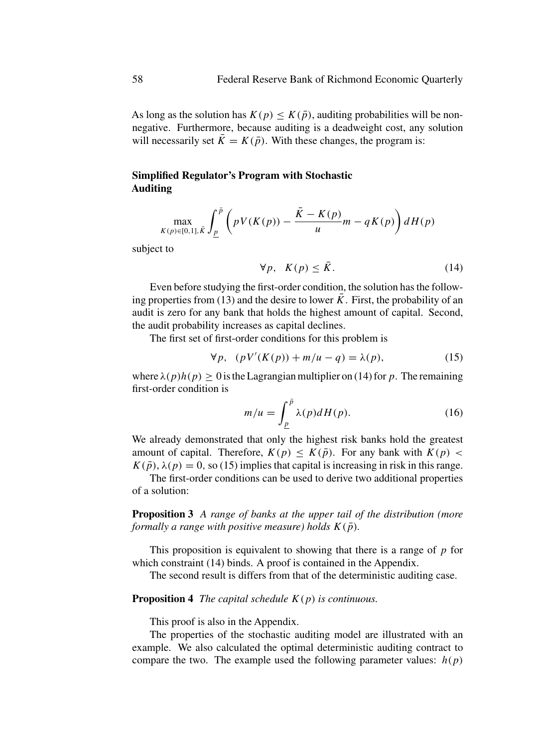As long as the solution has  $K(p) \le K(\bar{p})$ , auditing probabilities will be nonnegative. Furthermore, because auditing is a deadweight cost, any solution will necessarily set  $\overline{K} = K(\overline{p})$ . With these changes, the program is:

# **Simplified Regulator's Program with Stochastic Auditing**

$$
\max_{K(p)\in[0,1],\bar{K}}\int_{\underline{p}}^{\bar{p}}\left(pV(K(p))-\frac{\bar{K}-K(p)}{u}m-qK(p)\right)dH(p)
$$

subject to

$$
\forall p, \ K(p) \le \bar{K}.\tag{14}
$$

Even before studying the first-order condition, the solution has the following properties from (13) and the desire to lower  $\overline{K}$ . First, the probability of an audit is zero for any bank that holds the highest amount of capital. Second, the audit probability increases as capital declines.

The first set of first-order conditions for this problem is

$$
\forall p, \quad (pV'(K(p)) + m/u - q) = \lambda(p), \tag{15}
$$

where  $\lambda(p)h(p) \ge 0$  is the Lagrangian multiplier on (14) for p. The remaining first-order condition is

$$
m/u = \int_{\underline{p}}^{\overline{p}} \lambda(p)dH(p).
$$
 (16)

We already demonstrated that only the highest risk banks hold the greatest amount of capital. Therefore,  $K(p) \le K(\bar{p})$ . For any bank with  $K(p)$  $K(\bar{p})$ ,  $\lambda(p) = 0$ , so (15) implies that capital is increasing in risk in this range.

The first-order conditions can be used to derive two additional properties of a solution:

**Proposition 3** *A range of banks at the upper tail of the distribution (more formally a range with positive measure) holds*  $K(\bar{p})$ *.* 

This proposition is equivalent to showing that there is a range of  $p$  for which constraint (14) binds. A proof is contained in the Appendix.

The second result is differs from that of the deterministic auditing case.

#### **Proposition 4** *The capital schedule* K(p) *is continuous.*

This proof is also in the Appendix.

The properties of the stochastic auditing model are illustrated with an example. We also calculated the optimal deterministic auditing contract to compare the two. The example used the following parameter values:  $h(p)$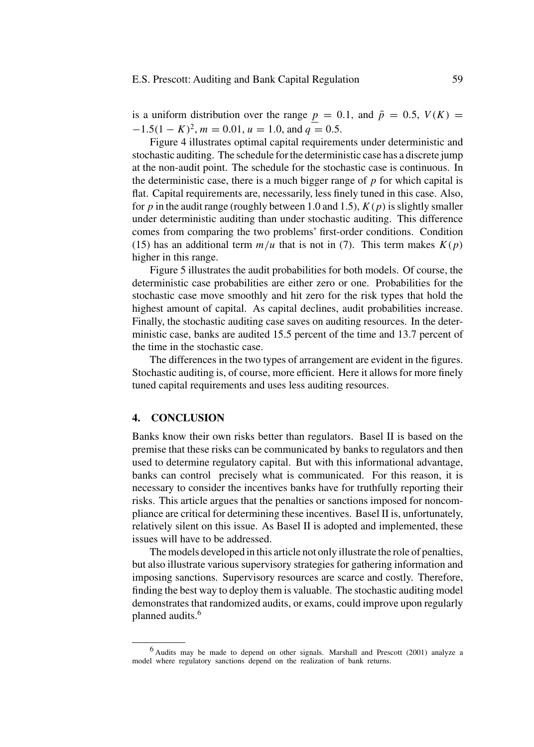is a uniform distribution over the range  $p = 0.1$ , and  $\bar{p} = 0.5$ ,  $V(K) =$  $-1.5(1 - K)^2$ ,  $m = 0.01$ ,  $u = 1.0$ , and  $q = 0.5$ .

Figure 4 illustrates optimal capital requirements under deterministic and stochastic auditing. The schedule for the deterministic case has a discrete jump at the non-audit point. The schedule for the stochastic case is continuous. In the deterministic case, there is a much bigger range of  $p$  for which capital is flat. Capital requirements are, necessarily, less finely tuned in this case. Also, for p in the audit range (roughly between 1.0 and 1.5),  $K(p)$  is slightly smaller under deterministic auditing than under stochastic auditing. This difference comes from comparing the two problems' first-order conditions. Condition (15) has an additional term  $m/u$  that is not in (7). This term makes  $K(p)$ higher in this range.

Figure 5 illustrates the audit probabilities for both models. Of course, the deterministic case probabilities are either zero or one. Probabilities for the stochastic case move smoothly and hit zero for the risk types that hold the highest amount of capital. As capital declines, audit probabilities increase. Finally, the stochastic auditing case saves on auditing resources. In the deterministic case, banks are audited 15.5 percent of the time and 13.7 percent of the time in the stochastic case.

The differences in the two types of arrangement are evident in the figures. Stochastic auditing is, of course, more efficient. Here it allows for more finely tuned capital requirements and uses less auditing resources.

# **4. CONCLUSION**

Banks know their own risks better than regulators. Basel II is based on the premise that these risks can be communicated by banks to regulators and then used to determine regulatory capital. But with this informational advantage, banks can control precisely what is communicated. For this reason, it is necessary to consider the incentives banks have for truthfully reporting their risks. This article argues that the penalties or sanctions imposed for noncompliance are critical for determining these incentives. Basel II is, unfortunately, relatively silent on this issue. As Basel II is adopted and implemented, these issues will have to be addressed.

The models developed in this article not only illustrate the role of penalties, but also illustrate various supervisory strategies for gathering information and imposing sanctions. Supervisory resources are scarce and costly. Therefore, finding the best way to deploy them is valuable. The stochastic auditing model demonstrates that randomized audits, or exams, could improve upon regularly planned audits.<sup>6</sup>

<sup>6</sup> Audits may be made to depend on other signals. Marshall and Prescott (2001) analyze a model where regulatory sanctions depend on the realization of bank returns.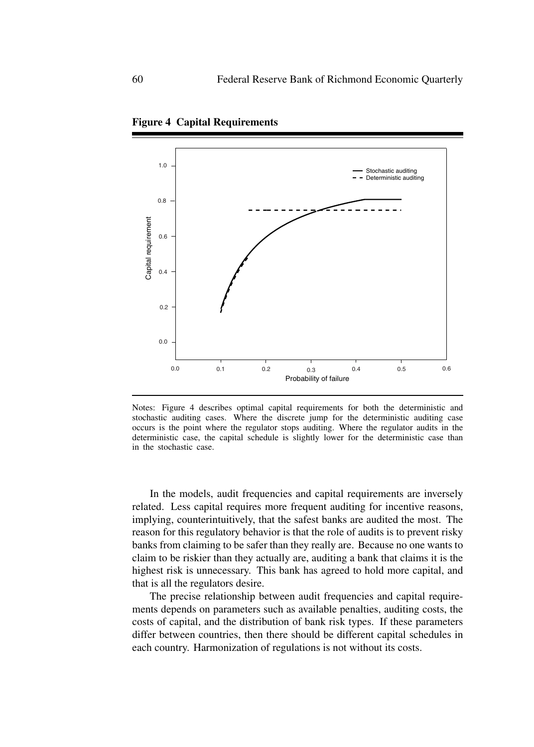

**Figure 4 Capital Requirements**

Notes: Figure 4 describes optimal capital requirements for both the deterministic and stochastic auditing cases. Where the discrete jump for the deterministic auditing case occurs is the point where the regulator stops auditing. Where the regulator audits in the deterministic case, the capital schedule is slightly lower for the deterministic case than in the stochastic case.

In the models, audit frequencies and capital requirements are inversely related. Less capital requires more frequent auditing for incentive reasons, implying, counterintuitively, that the safest banks are audited the most. The reason for this regulatory behavior is that the role of audits is to prevent risky banks from claiming to be safer than they really are. Because no one wants to claim to be riskier than they actually are, auditing a bank that claims it is the highest risk is unnecessary. This bank has agreed to hold more capital, and that is all the regulators desire.

The precise relationship between audit frequencies and capital requirements depends on parameters such as available penalties, auditing costs, the costs of capital, and the distribution of bank risk types. If these parameters differ between countries, then there should be different capital schedules in each country. Harmonization of regulations is not without its costs.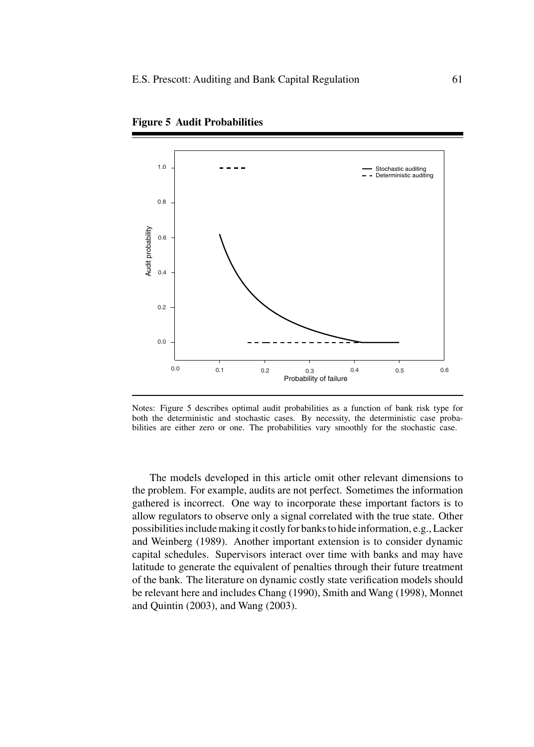

**Figure 5 Audit Probabilities**

Notes: Figure 5 describes optimal audit probabilities as a function of bank risk type for both the deterministic and stochastic cases. By necessity, the deterministic case probabilities are either zero or one. The probabilities vary smoothly for the stochastic case.

The models developed in this article omit other relevant dimensions to the problem. For example, audits are not perfect. Sometimes the information gathered is incorrect. One way to incorporate these important factors is to allow regulators to observe only a signal correlated with the true state. Other possibilities include making it costly for banks to hide information, e.g., Lacker and Weinberg (1989). Another important extension is to consider dynamic capital schedules. Supervisors interact over time with banks and may have latitude to generate the equivalent of penalties through their future treatment of the bank. The literature on dynamic costly state verification models should be relevant here and includes Chang (1990), Smith and Wang (1998), Monnet and Quintin (2003), and Wang (2003).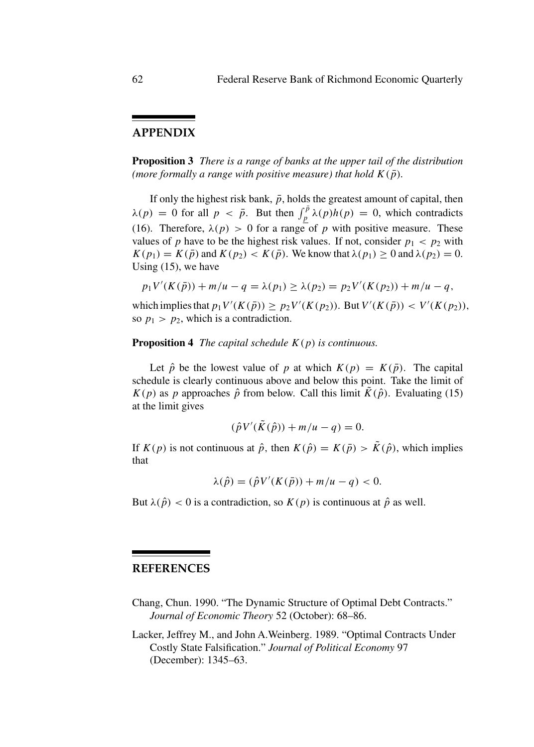# **APPENDIX**

**Proposition 3** *There is a range of banks at the upper tail of the distribution (more formally a range with positive measure) that hold*  $K(\bar{p})$ *.* 

If only the highest risk bank,  $\bar{p}$ , holds the greatest amount of capital, then  $\lambda(p) = 0$  for all  $p < \bar{p}$ . But then  $\int_{p}^{\bar{p}} \lambda(p)h(p) = 0$ , which contradicts (16). Therefore,  $\lambda(p) > 0$  for a range of p with positive measure. These values of p have to be the highest risk values. If not, consider  $p_1 < p_2$  with  $K(p_1) = K(\bar{p})$  and  $K(p_2) < K(\bar{p})$ . We know that  $\lambda(p_1) \ge 0$  and  $\lambda(p_2) = 0$ . Using (15), we have

$$
p_1V'(K(\bar{p})) + m/u - q = \lambda(p_1) \ge \lambda(p_2) = p_2V'(K(p_2)) + m/u - q,
$$

which implies that  $p_1 V'(K(\bar{p})) \ge p_2 V'(K(p_2))$ . But  $V'(K(\bar{p})) < V'(K(p_2))$ , so  $p_1 > p_2$ , which is a contradiction.

#### **Proposition 4** *The capital schedule* K(p) *is continuous.*

Let  $\hat{p}$  be the lowest value of p at which  $K(p) = K(\bar{p})$ . The capital schedule is clearly continuous above and below this point. Take the limit of  $K(p)$  as p approaches  $\hat{p}$  from below. Call this limit  $\tilde{K}(\hat{p})$ . Evaluating (15) at the limit gives

$$
(\hat{p}V'(\tilde{K}(\hat{p})) + m/u - q) = 0.
$$

If  $K(p)$  is not continuous at  $\hat{p}$ , then  $K(\hat{p}) = K(\bar{p}) > \tilde{K}(\hat{p})$ , which implies that

$$
\lambda(\hat{p}) = (\hat{p}V'(K(\bar{p})) + m/u - q) < 0.
$$

But  $\lambda(\hat{p}) < 0$  is a contradiction, so  $K(p)$  is continuous at  $\hat{p}$  as well.

#### **REFERENCES**

- Chang, Chun. 1990. "The Dynamic Structure of Optimal Debt Contracts." *Journal of Economic Theory* 52 (October): 68–86.
- Lacker, Jeffrey M., and John A.Weinberg. 1989. "Optimal Contracts Under Costly State Falsification." *Journal of Political Economy* 97 (December): 1345–63.